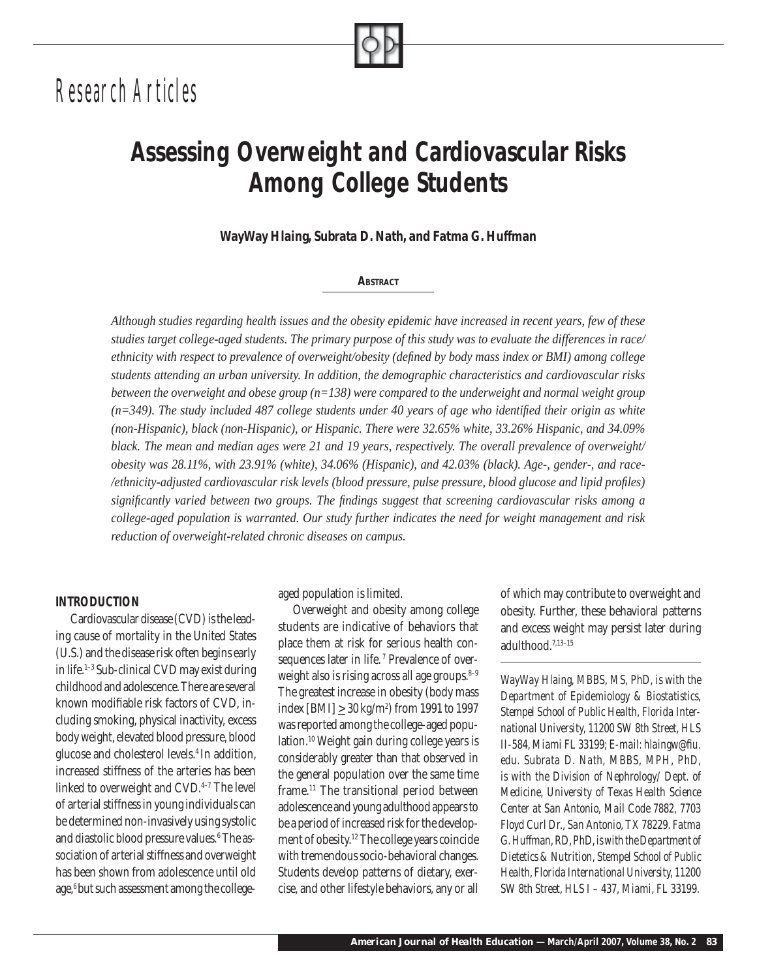# *Research Articles*

## *Assessing Overweight and Cardiovascular Risks Among College Students*

*WayWay Hlaing, Subrata D. Nath, and Fatma G. Huffman*

#### *ABSTRACT*

*Although studies regarding health issues and the obesity epidemic have increased in recent years, few of these studies target college-aged students. The primary purpose of this study was to evaluate the differences in race/ ethnicity with respect to prevalence of overweight/obesity (defi ned by body mass index or BMI) among college students attending an urban university. In addition, the demographic characteristics and cardiovascular risks between the overweight and obese group (n=138) were compared to the underweight and normal weight group (n=349). The study included 487 college students under 40 years of age who identifi ed their origin as white (non-Hispanic), black (non-Hispanic), or Hispanic. There were 32.65% white, 33.26% Hispanic, and 34.09% black. The mean and median ages were 21 and 19 years, respectively. The overall prevalence of overweight/ obesity was 28.11%, with 23.91% (white), 34.06% (Hispanic), and 42.03% (black). Age-, gender-, and race- /ethnicity-adjusted cardiovascular risk levels (blood pressure, pulse pressure, blood glucose and lipid profi les) signifi cantly varied between two groups. The fi ndings suggest that screening cardiovascular risks among a college-aged population is warranted. Our study further indicates the need for weight management and risk reduction of overweight-related chronic diseases on campus.* 

#### *INTRODUCTION*

Cardiovascular disease (CVD) is the leading cause of mortality in the United States (U.S.) and the disease risk often begins early in life.<sup>1–3</sup> Sub-clinical CVD may exist during childhood and adolescence. There are several known modifiable risk factors of CVD, including smoking, physical inactivity, excess body weight, elevated blood pressure, blood glucose and cholesterol levels.4 In addition, increased stiffness of the arteries has been linked to overweight and CVD.<sup>4-7</sup> The level of arterial stiffness in young individuals can be determined non-invasively using systolic and diastolic blood pressure values.6 The association of arterial stiffness and overweight has been shown from adolescence until old age,<sup>6</sup> but such assessment among the collegeaged population is limited.

Overweight and obesity among college students are indicative of behaviors that place them at risk for serious health consequences later in life.<sup>7</sup> Prevalence of overweight also is rising across all age groups. $8-9$ The greatest increase in obesity (body mass index [BMI]  $\geq 30$  kg/m<sup>2</sup>) from 1991 to 1997 was reported among the college-aged population.10 Weight gain during college years is considerably greater than that observed in the general population over the same time frame.11 The transitional period between adolescence and young adulthood appears to be a period of increased risk for the development of obesity.12 The college years coincide with tremendous socio-behavioral changes. Students develop patterns of dietary, exercise, and other lifestyle behaviors, any or all

of which may contribute to overweight and obesity. Further, these behavioral patterns and excess weight may persist later during adulthood.7,13–15

*WayWay Hlaing, MBBS, MS, PhD, is with the Department of Epidemiology & Biostatistics, Stempel School of Public Health, Florida International University, 11200 SW 8th Street, HLS II-584, Miami FL 33199; E-mail: hlaingw@fi u. edu. Subrata D. Nath, MBBS, MPH, PhD, is with the Division of Nephrology/ Dept. of Medicine, University of Texas Health Science Center at San Antonio, Mail Code 7882, 7703 Floyd Curl Dr., San Antonio, TX 78229. Fatma G. Huffman, RD, PhD, is with the Department of Dietetics & Nutrition, Stempel School of Public Health, Florida International University, 11200 SW 8th Street, HLS I – 437, Miami, FL 33199.*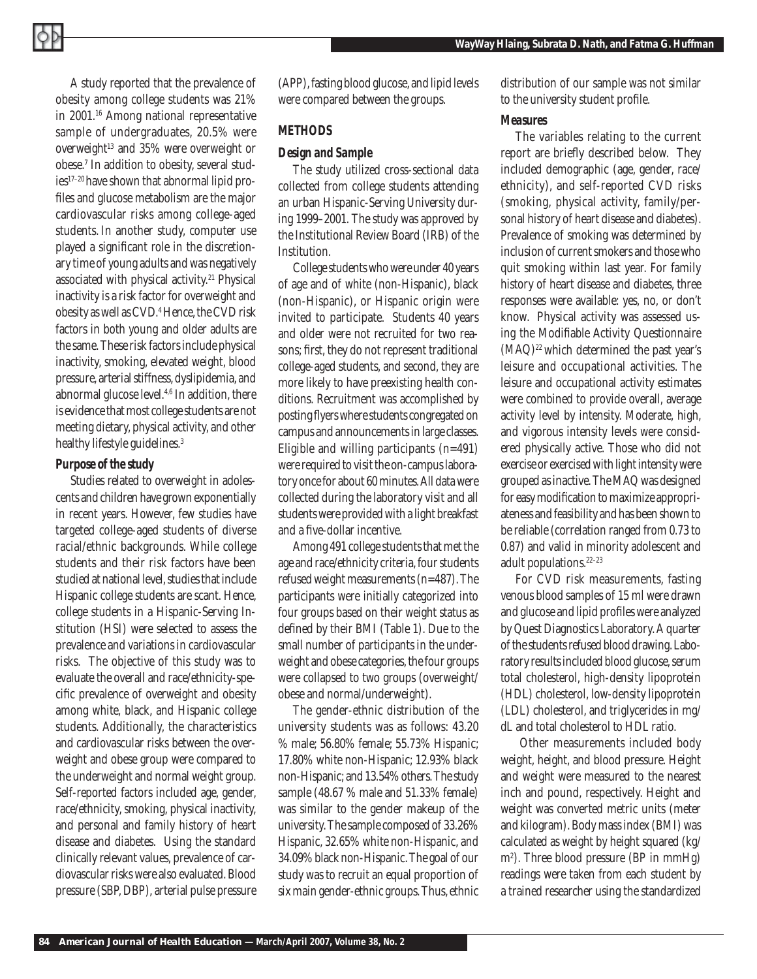A study reported that the prevalence of obesity among college students was 21% in 2001.16 Among national representative sample of undergraduates, 20.5% were overweight $13$  and  $35%$  were overweight or obese.7 In addition to obesity, several studies17–20 have shown that abnormal lipid profiles and glucose metabolism are the major cardiovascular risks among college-aged students. In another study, computer use played a significant role in the discretionary time of young adults and was negatively associated with physical activity.<sup>21</sup> Physical inactivity is a risk factor for overweight and obesity as well as CVD.4 Hence, the CVD risk factors in both young and older adults are the same. These risk factors include physical inactivity, smoking, elevated weight, blood pressure, arterial stiffness, dyslipidemia, and abnormal glucose level.4,6 In addition, there is evidence that most college students are not meeting dietary, physical activity, and other healthy lifestyle guidelines.<sup>3</sup>

### *Purpose of the study*

Studies related to overweight in adolescents and children have grown exponentially in recent years. However, few studies have targeted college-aged students of diverse racial/ethnic backgrounds. While college students and their risk factors have been studied at national level, studies that include Hispanic college students are scant. Hence, college students in a Hispanic-Serving Institution (HSI) were selected to assess the prevalence and variations in cardiovascular risks. The objective of this study was to evaluate the overall and race/ethnicity-specific prevalence of overweight and obesity among white, black, and Hispanic college students. Additionally, the characteristics and cardiovascular risks between the overweight and obese group were compared to the underweight and normal weight group. Self-reported factors included age, gender, race/ethnicity, smoking, physical inactivity, and personal and family history of heart disease and diabetes. Using the standard clinically relevant values, prevalence of cardiovascular risks were also evaluated. Blood pressure (SBP, DBP), arterial pulse pressure

(APP), fasting blood glucose, and lipid levels were compared between the groups.

## *METHODS*

### *Design and Sample*

The study utilized cross-sectional data collected from college students attending an urban Hispanic-Serving University during 1999–2001. The study was approved by the Institutional Review Board (IRB) of the Institution.

College students who were under 40 years of age and of white (non-Hispanic), black (non-Hispanic), or Hispanic origin were invited to participate. Students 40 years and older were not recruited for two reasons; first, they do not represent traditional college-aged students, and second, they are more likely to have preexisting health conditions. Recruitment was accomplished by posting flyers where students congregated on campus and announcements in large classes. Eligible and willing participants (n=491) were required to visit the on-campus laboratory once for about 60 minutes. All data were collected during the laboratory visit and all students were provided with a light breakfast and a five-dollar incentive.

Among 491 college students that met the age and race/ethnicity criteria, four students refused weight measurements (n=487). The participants were initially categorized into four groups based on their weight status as defined by their BMI (Table 1). Due to the small number of participants in the underweight and obese categories, the four groups were collapsed to two groups (overweight/ obese and normal/underweight).

The gender-ethnic distribution of the university students was as follows: 43.20 % male; 56.80% female; 55.73% Hispanic; 17.80% white non-Hispanic; 12.93% black non-Hispanic; and 13.54% others. The study sample (48.67 % male and 51.33% female) was similar to the gender makeup of the university. The sample composed of 33.26% Hispanic, 32.65% white non-Hispanic, and 34.09% black non-Hispanic. The goal of our study was to recruit an equal proportion of six main gender-ethnic groups. Thus, ethnic

distribution of our sample was not similar to the university student profile.

## *Measures*

The variables relating to the current report are briefly described below. They included demographic (age, gender, race/ ethnicity), and self-reported CVD risks (smoking, physical activity, family/personal history of heart disease and diabetes). Prevalence of smoking was determined by inclusion of current smokers and those who quit smoking within last year. For family history of heart disease and diabetes, three responses were available: yes, no, or don't know. Physical activity was assessed using the Modifiable Activity Questionnaire  $(MAQ)^{22}$  which determined the past year's leisure and occupational activities. The leisure and occupational activity estimates were combined to provide overall, average activity level by intensity. Moderate, high, and vigorous intensity levels were considered physically active. Those who did not exercise or exercised with light intensity were grouped as inactive. The MAQ was designed for easy modification to maximize appropriateness and feasibility and has been shown to be reliable (correlation ranged from 0.73 to 0.87) and valid in minority adolescent and adult populations.<sup>22-23</sup>

For CVD risk measurements, fasting venous blood samples of 15 ml were drawn and glucose and lipid profiles were analyzed by Quest Diagnostics Laboratory. A quarter of the students refused blood drawing. Laboratory results included blood glucose, serum total cholesterol, high-density lipoprotein (HDL) cholesterol, low-density lipoprotein (LDL) cholesterol, and triglycerides in mg/ dL and total cholesterol to HDL ratio.

 Other measurements included body weight, height, and blood pressure. Height and weight were measured to the nearest inch and pound, respectively. Height and weight was converted metric units (meter and kilogram). Body mass index (BMI) was calculated as weight by height squared (kg/ m2 ). Three blood pressure (BP in mmHg) readings were taken from each student by a trained researcher using the standardized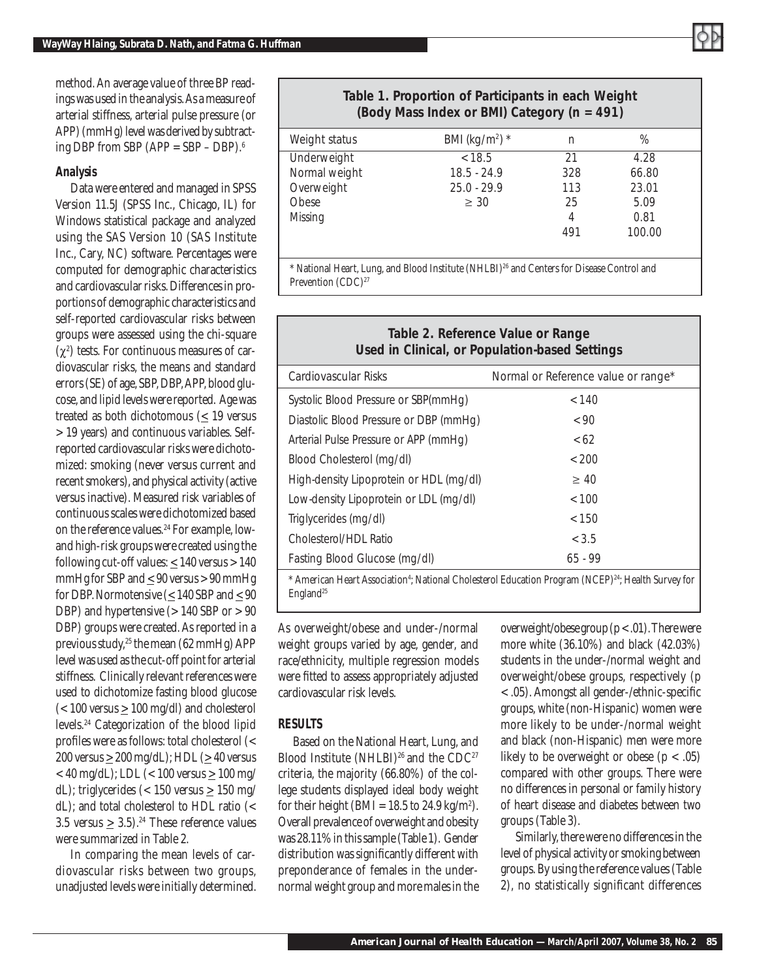

method. An average value of three BP readings was used in the analysis. As a measure of arterial stiffness, arterial pulse pressure (or APP) (mmHg) level was derived by subtracting DBP from SBP (APP = SBP – DBP). $^{6}$ 

## *Analysis*

Data were entered and managed in SPSS Version 11.5J (SPSS Inc., Chicago, IL) for Windows statistical package and analyzed using the SAS Version 10 (SAS Institute Inc., Cary, NC) software. Percentages were computed for demographic characteristics and cardiovascular risks. Differences in proportions of demographic characteristics and self-reported cardiovascular risks between groups were assessed using the chi-square  $(χ<sup>2</sup>)$  tests. For continuous measures of cardiovascular risks, the means and standard errors (SE) of age, SBP, DBP, APP, blood glucose, and lipid levels were reported. Age was treated as both dichotomous ( $\leq$  19 versus > 19 years) and continuous variables. Selfreported cardiovascular risks were dichotomized: smoking (never versus current and recent smokers), and physical activity (active versus inactive). Measured risk variables of continuous scales were dichotomized based on the reference values.<sup>24</sup> For example, lowand high-risk groups were created using the following cut-off values:  $\leq$  140 versus > 140 mmHg for SBP and  $\leq 90$  versus > 90 mmHg for DBP. Normotensive ( $\leq 140$  SBP and  $\leq 90$ DBP) and hypertensive  $(> 140$  SBP or  $> 90$ DBP) groups were created. As reported in a previous study,<sup>25</sup> the mean (62 mmHg) APP level was used as the cut-off point for arterial stiffness. Clinically relevant references were used to dichotomize fasting blood glucose  $\langle$  < 100 versus  $\geq$  100 mg/dl) and cholesterol levels.<sup>24</sup> Categorization of the blood lipid profiles were as follows: total cholesterol  $\left\langle \right\rangle$ 200 versus  $\geq$  200 mg/dL); HDL ( $\geq$  40 versus < 40 mg/dL); LDL (< 100 versus  $\geq 100$  mg/ dL); triglycerides (< 150 versus  $\geq 150$  mg/ dL); and total cholesterol to HDL ratio (< 3.5 versus  $\geq 3.5$ .<sup>24</sup> These reference values were summarized in Table 2.

In comparing the mean levels of cardiovascular risks between two groups, unadjusted levels were initially determined.

## *Table 1. Proportion of Participants in each Weight (Body Mass Index or BMI) Category (n = 491)*

| Weight status | BMI (kg/m <sup>2</sup> ) $*$ | n   | %      |  |
|---------------|------------------------------|-----|--------|--|
| Underweight   | < 18.5                       | 21  | 4.28   |  |
| Normal weight | $18.5 - 24.9$                | 328 | 66.80  |  |
| Overweight    | $25.0 - 29.9$                | 113 | 23.01  |  |
| Obese         | $\geq 30$                    | 25  | 5.09   |  |
| Missing       |                              | 4   | 0.81   |  |
|               |                              | 491 | 100.00 |  |
|               |                              |     |        |  |
|               |                              |     |        |  |

\* National Heart, Lung, and Blood Institute (NHLBI)26 and Centers for Disease Control and Prevention (CDC)<sup>27</sup>

## *Table 2. Reference Value or Range Used in Clinical, or Population-based Settings*

| Cardiovascular Risks                    | Normal or Reference value or range* |
|-----------------------------------------|-------------------------------------|
| Systolic Blood Pressure or SBP(mmHg)    | < 140                               |
| Diastolic Blood Pressure or DBP (mmHg)  | < 90                                |
| Arterial Pulse Pressure or APP (mmHg)   | <62                                 |
| Blood Cholesterol (mg/dl)               | < 200                               |
| High-density Lipoprotein or HDL (mg/dl) | $\geq 40$                           |
| Low-density Lipoprotein or LDL (mg/dl)  | < 100                               |
| Triglycerides (mg/dl)                   | < 150                               |
| Cholesterol/HDL Ratio                   | < 3.5                               |
| Fasting Blood Glucose (mg/dl)           | $65 - 99$                           |
|                                         |                                     |

\* American Heart Association4 ; National Cholesterol Education Program (NCEP)24; Health Survey for England<sup>25</sup>

As overweight/obese and under-/normal weight groups varied by age, gender, and race/ethnicity, multiple regression models were fitted to assess appropriately adjusted cardiovascular risk levels.

## *RESULTS*

Based on the National Heart, Lung, and Blood Institute  $(NHLBI)^{26}$  and the CDC<sup>27</sup> criteria, the majority (66.80%) of the college students displayed ideal body weight for their height (BMI = 18.5 to 24.9 kg/m<sup>2</sup>). Overall prevalence of overweight and obesity was 28.11% in this sample (Table 1). Gender distribution was significantly different with preponderance of females in the undernormal weight group and more males in the

overweight/obese group  $(p < .01)$ . There were more white (36.10%) and black (42.03%) students in the under-/normal weight and overweight/obese groups, respectively (p < .05). Amongst all gender-/ethnic-specific groups, white (non-Hispanic) women were more likely to be under-/normal weight and black (non-Hispanic) men were more likely to be overweight or obese  $(p < .05)$ compared with other groups. There were no differences in personal or family history of heart disease and diabetes between two groups (Table 3).

Similarly, there were no differences in the level of physical activity or smoking between groups. By using the reference values (Table 2), no statistically significant differences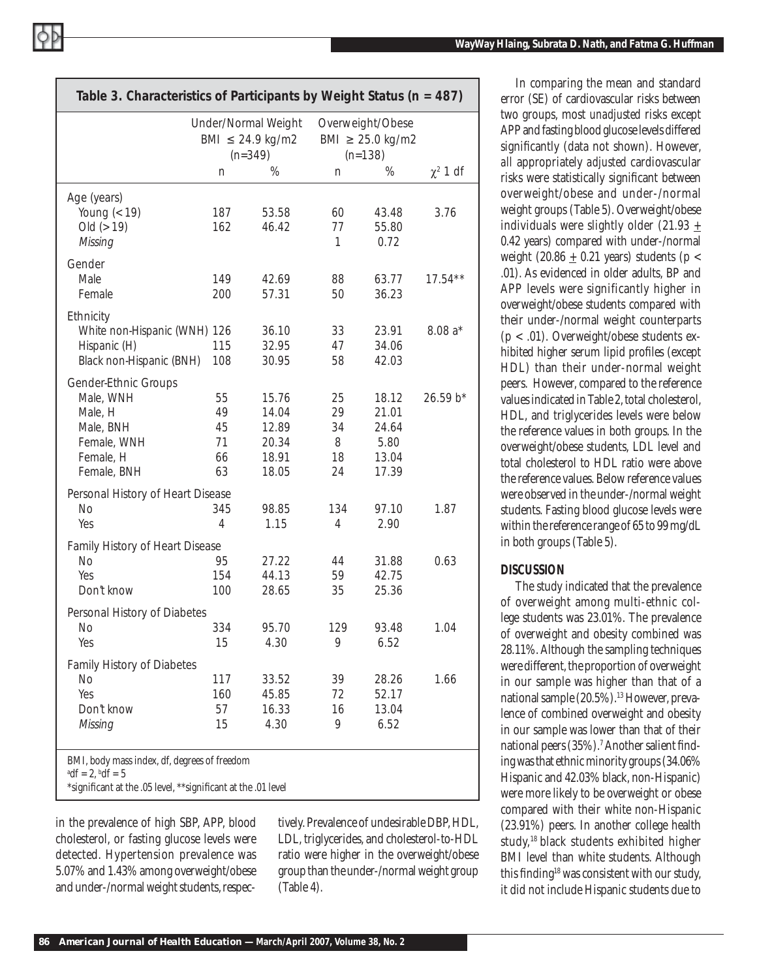|                                   | Under/Normal Weight<br>BMI $\leq$ 24.9 kg/m2<br>$(n=349)$ |                | Overweight/Obese<br>BMI $\geq$ 25.0 kg/m2<br>$(n=138)$ |                |               |
|-----------------------------------|-----------------------------------------------------------|----------------|--------------------------------------------------------|----------------|---------------|
|                                   | n                                                         | $\%$           | n                                                      | $\%$           | $\chi^2$ 1 df |
| Age (years)                       |                                                           |                |                                                        |                |               |
| Young $(< 19)$                    | 187                                                       | 53.58          | 60                                                     | 43.48          | 3.76          |
| Old $(> 19)$                      | 162                                                       | 46.42          | 77                                                     | 55.80          |               |
| Missing                           |                                                           |                | 1                                                      | 0.72           |               |
| Gender                            |                                                           |                |                                                        |                |               |
| Male                              | 149                                                       | 42.69          | 88                                                     | 63.77          | $17.54***$    |
| Female                            | 200                                                       | 57.31          | 50                                                     | 36.23          |               |
| Ethnicity                         |                                                           |                |                                                        |                |               |
| White non-Hispanic (WNH) 126      |                                                           | 36.10          | 33                                                     | 23.91          | $8.08a*$      |
| Hispanic (H)                      | 115                                                       | 32.95          | 47                                                     | 34.06          |               |
| Black non-Hispanic (BNH)          | 108                                                       | 30.95          | 58                                                     | 42.03          |               |
| Gender-Ethnic Groups              |                                                           |                |                                                        |                |               |
| Male, WNH                         | 55                                                        | 15.76          | 25                                                     | 18.12          | 26.59 b*      |
| Male, H                           | 49<br>45                                                  | 14.04<br>12.89 | 29<br>34                                               | 21.01<br>24.64 |               |
| Male, BNH<br>Female, WNH          | 71                                                        | 20.34          | 8                                                      | 5.80           |               |
| Female, H                         | 66                                                        | 18.91          | 18                                                     | 13.04          |               |
| Female, BNH                       | 63                                                        | 18.05          | 24                                                     | 17.39          |               |
| Personal History of Heart Disease |                                                           |                |                                                        |                |               |
| <b>No</b>                         | 345                                                       | 98.85          | 134                                                    | 97.10          | 1.87          |
| Yes                               | $\overline{4}$                                            | 1.15           | 4                                                      | 2.90           |               |
| Family History of Heart Disease   |                                                           |                |                                                        |                |               |
| No                                | 95                                                        | 27.22          | 44                                                     | 31.88          | 0.63          |
| Yes                               | 154                                                       | 44.13          | 59                                                     | 42.75          |               |
| Don't know                        | 100                                                       | 28.65          | 35                                                     | 25.36          |               |
| Personal History of Diabetes      |                                                           |                |                                                        |                |               |
| No                                | 334                                                       | 95.70          | 129                                                    | 93.48          | 1.04          |
| Yes                               | 15                                                        | 4.30           | 9                                                      | 6.52           |               |
| <b>Family History of Diabetes</b> |                                                           |                |                                                        |                |               |
| <b>No</b>                         | 117                                                       | 33.52          | 39                                                     | 28.26          | 1.66          |
| Yes                               | 160                                                       | 45.85          | 72                                                     | 52.17          |               |
| Don't know                        | 57                                                        | 16.33          | 16                                                     | 13.04          |               |
| Missing                           | 15                                                        | 4.30           | 9                                                      | 6.52           |               |

in the prevalence of high SBP, APP, blood cholesterol, or fasting glucose levels were detected. Hypertension prevalence was 5.07% and 1.43% among overweight/obese and under-/normal weight students, respectively. Prevalence of undesirable DBP, HDL, LDL, triglycerides, and cholesterol-to-HDL ratio were higher in the overweight/obese group than the under-/normal weight group (Table 4).

In comparing the mean and standard error (SE) of cardiovascular risks between two groups, most *unadjusted* risks except APP and fasting blood glucose levels differed significantly (data not shown). However, *all* appropriately *adjusted* cardiovascular risks were statistically significant between overweight/obese and under-/normal weight groups (Table 5). Overweight/obese individuals were slightly older (21.93 + 0.42 years) compared with under-/normal weight (20.86  $\pm$  0.21 years) students (p < .01). As evidenced in older adults, BP and APP levels were significantly higher in overweight/obese students compared with their under-/normal weight counterparts (p < .01). Overweight/obese students exhibited higher serum lipid profiles (except HDL) than their under-normal weight peers. However, compared to the reference values indicated in Table 2, total cholesterol, HDL, and triglycerides levels were below the reference values in both groups. In the overweight/obese students, LDL level and total cholesterol to HDL ratio were above the reference values. Below reference values were observed in the under-/normal weight students. Fasting blood glucose levels were within the reference range of 65 to 99 mg/dL in both groups (Table 5).

## *DISCUSSION*

The study indicated that the prevalence of overweight among multi-ethnic college students was 23.01%. The prevalence of overweight and obesity combined was 28.11%. Although the sampling techniques were different, the proportion of overweight in our sample was higher than that of a national sample (20.5%).<sup>13</sup> However, prevalence of combined overweight and obesity in our sample was lower than that of their national peers (35%).<sup>7</sup> Another salient finding was that ethnic minority groups (34.06% Hispanic and 42.03% black, non-Hispanic) were more likely to be overweight or obese compared with their white non-Hispanic (23.91%) peers. In another college health study,18 black students exhibited higher BMI level than white students. Although this finding<sup>18</sup> was consistent with our study, it did not include Hispanic students due to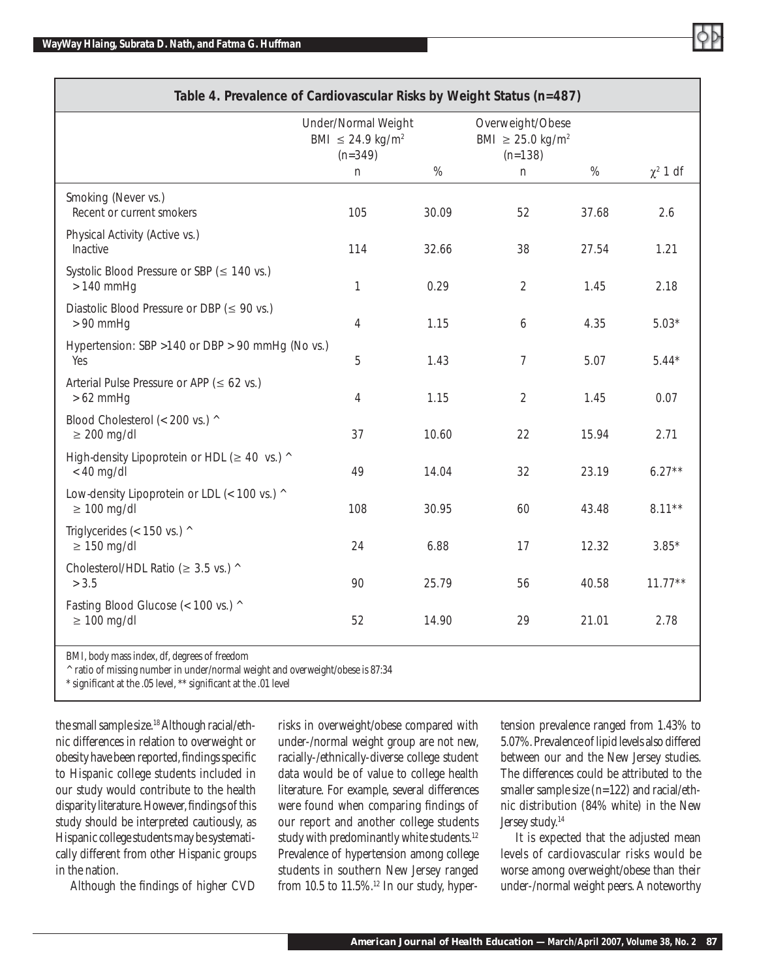| Table 4. Prevalence of Cardiovascular Risks by Weight Status (n=487) |                                                                       |       |                                                                    |       |               |  |  |
|----------------------------------------------------------------------|-----------------------------------------------------------------------|-------|--------------------------------------------------------------------|-------|---------------|--|--|
|                                                                      | Under/Normal Weight<br>BMI $\leq$ 24.9 kg/m <sup>2</sup><br>$(n=349)$ |       | Overweight/Obese<br>BMI $\geq$ 25.0 kg/m <sup>2</sup><br>$(n=138)$ |       |               |  |  |
|                                                                      | n                                                                     | $\%$  | $\mathsf{n}$                                                       | $\%$  | $\chi^2$ 1 df |  |  |
| Smoking (Never vs.)<br>Recent or current smokers                     | 105                                                                   | 30.09 | 52                                                                 | 37.68 | 2.6           |  |  |
| Physical Activity (Active vs.)<br>Inactive                           | 114                                                                   | 32.66 | 38                                                                 | 27.54 | 1.21          |  |  |
| Systolic Blood Pressure or SBP ( $\leq$ 140 vs.)<br>$>140$ mmHg      | 1                                                                     | 0.29  | $\overline{2}$                                                     | 1.45  | 2.18          |  |  |
| Diastolic Blood Pressure or DBP ( $\leq$ 90 vs.)<br>$> 90$ mmHg      | 4                                                                     | 1.15  | 6                                                                  | 4.35  | $5.03*$       |  |  |
| Hypertension: SBP > 140 or DBP > 90 mmHg (No vs.)<br>Yes             | 5                                                                     | 1.43  | $\overline{7}$                                                     | 5.07  | $5.44*$       |  |  |
| Arterial Pulse Pressure or APP ( $\leq 62$ vs.)<br>$>62$ mmHg        | 4                                                                     | 1.15  | $\overline{2}$                                                     | 1.45  | 0.07          |  |  |
| Blood Cholesterol (< 200 vs.) ^<br>$\geq 200$ mg/dl                  | 37                                                                    | 10.60 | 22                                                                 | 15.94 | 2.71          |  |  |
| High-density Lipoprotein or HDL ( $\geq$ 40 vs.) ^<br>$< 40$ mg/dl   | 49                                                                    | 14.04 | 32                                                                 | 23.19 | $6.27**$      |  |  |
| Low-density Lipoprotein or LDL (< 100 vs.) ^<br>$\geq 100$ mg/dl     | 108                                                                   | 30.95 | 60                                                                 | 43.48 | $8.11***$     |  |  |
| Triglycerides (< 150 vs.) ^<br>$\geq 150$ mg/dl                      | 24                                                                    | 6.88  | 17                                                                 | 12.32 | $3.85*$       |  |  |
| Cholesterol/HDL Ratio ( $\geq$ 3.5 vs.) ^<br>> 3.5                   | 90                                                                    | 25.79 | 56                                                                 | 40.58 | $11.77***$    |  |  |
| Fasting Blood Glucose (< 100 vs.) ^<br>$\geq 100$ mg/dl              | 52                                                                    | 14.90 | 29                                                                 | 21.01 | 2.78          |  |  |
|                                                                      |                                                                       |       |                                                                    |       |               |  |  |

BMI, body mass index, df, degrees of freedom

 $^{\wedge}$  ratio of missing number in under/normal weight and overweight/obese is 87:34

\* significant at the .05 level, \*\* significant at the .01 level

the small sample size.<sup>18</sup> Although racial/ethnic differences in relation to overweight or obesity have been reported, findings specific to Hispanic college students included in our study would contribute to the health disparity literature. However, findings of this study should be interpreted cautiously, as Hispanic college students may be systematically different from other Hispanic groups in the nation.

Although the findings of higher CVD

risks in overweight/obese compared with under-/normal weight group are not new, racially-/ethnically-diverse college student data would be of value to college health literature. For example, several differences were found when comparing findings of our report and another college students study with predominantly white students.<sup>12</sup> Prevalence of hypertension among college students in southern New Jersey ranged from 10.5 to  $11.5\%$ .<sup>12</sup> In our study, hyper-

tension prevalence ranged from 1.43% to 5.07%. Prevalence of lipid levels also differed between our and the New Jersey studies. The differences could be attributed to the smaller sample size (n=122) and racial/ethnic distribution (84% white) in the New Jersey study.<sup>14</sup>

It is expected that the adjusted mean levels of cardiovascular risks would be worse among overweight/obese than their under-/normal weight peers. A noteworthy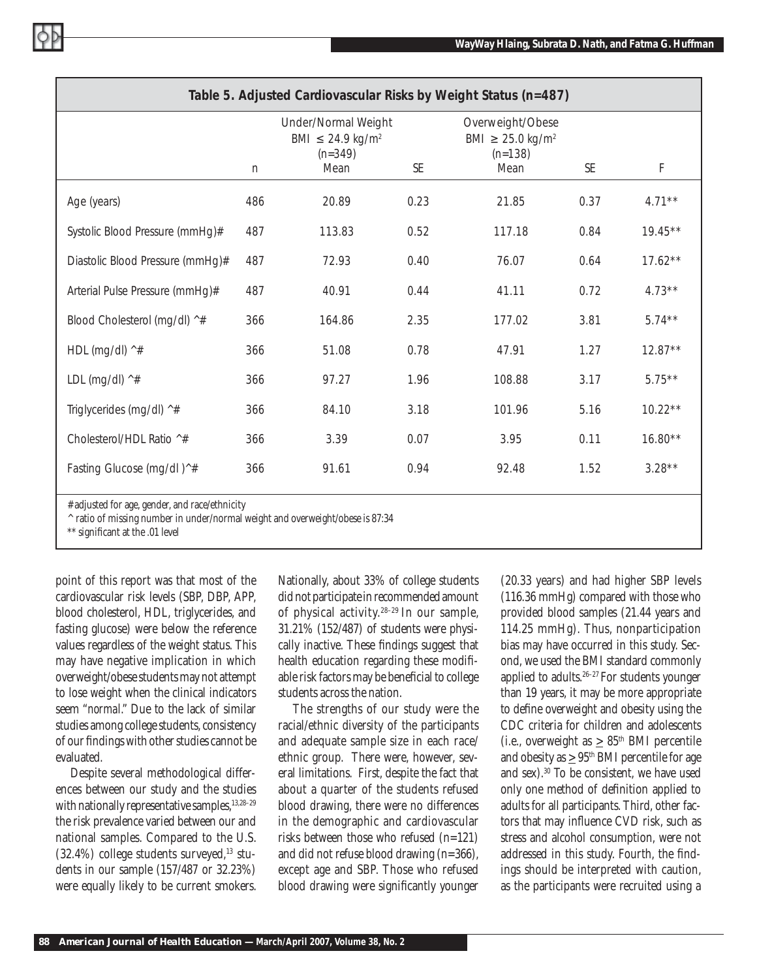| Table 5. Adjusted Cardiovascular Risks by Weight Status (n=487) |     |                                                                          |      |                                                                       |      |            |  |  |
|-----------------------------------------------------------------|-----|--------------------------------------------------------------------------|------|-----------------------------------------------------------------------|------|------------|--|--|
|                                                                 |     | Under/Normal Weight<br>BMI ≤ 24.9 kg/m <sup>2</sup><br>$(n=349)$<br>Mean | SE   | Overweight/Obese<br>BMI ≥ 25.0 kg/m <sup>2</sup><br>$(n=138)$<br>Mean | SE   | F          |  |  |
|                                                                 | n   |                                                                          |      |                                                                       |      |            |  |  |
| Age (years)                                                     | 486 | 20.89                                                                    | 0.23 | 21.85                                                                 | 0.37 | $4.71***$  |  |  |
| Systolic Blood Pressure (mmHg)#                                 | 487 | 113.83                                                                   | 0.52 | 117.18                                                                | 0.84 | $19.45***$ |  |  |
| Diastolic Blood Pressure (mmHg)#                                | 487 | 72.93                                                                    | 0.40 | 76.07                                                                 | 0.64 | $17.62**$  |  |  |
| Arterial Pulse Pressure (mmHg)#                                 | 487 | 40.91                                                                    | 0.44 | 41.11                                                                 | 0.72 | $4.73**$   |  |  |
| Blood Cholesterol (mg/dl) ^#                                    | 366 | 164.86                                                                   | 2.35 | 177.02                                                                | 3.81 | $5.74***$  |  |  |
| HDL (mg/dl) $4$                                                 | 366 | 51.08                                                                    | 0.78 | 47.91                                                                 | 1.27 | $12.87**$  |  |  |
| LDL (mg/dl) ^#                                                  | 366 | 97.27                                                                    | 1.96 | 108.88                                                                | 3.17 | $5.75***$  |  |  |
| Triglycerides (mg/dl) ^#                                        | 366 | 84.10                                                                    | 3.18 | 101.96                                                                | 5.16 | $10.22**$  |  |  |
| Cholesterol/HDL Ratio ^#                                        | 366 | 3.39                                                                     | 0.07 | 3.95                                                                  | 0.11 | $16.80**$  |  |  |
| Fasting Glucose (mg/dl)^#                                       | 366 | 91.61                                                                    | 0.94 | 92.48                                                                 | 1.52 | $3.28**$   |  |  |
|                                                                 |     |                                                                          |      |                                                                       |      |            |  |  |

# adjusted for age, gender, and race/ethnicity

^ ratio of missing number in under/normal weight and overweight/obese is 87:34

\*\* significant at the .01 level

point of this report was that most of the cardiovascular risk levels (SBP, DBP, APP, blood cholesterol, HDL, triglycerides, and fasting glucose) were below the reference values regardless of the weight status. This may have negative implication in which overweight/obese students may not attempt to lose weight when the clinical indicators seem "*normal*." Due to the lack of similar studies among college students, consistency of our findings with other studies cannot be evaluated.

Despite several methodological differences between our study and the studies with nationally representative samples,  $13,28-29$ the risk prevalence varied between our and national samples. Compared to the U.S.  $(32.4\%)$  college students surveyed,<sup>13</sup> students in our sample (157/487 or 32.23%) were equally likely to be current smokers.

Nationally, about 33% of college students did not participate in recommended amount of physical activity.28–29 In our sample, 31.21% (152/487) of students were physically inactive. These findings suggest that health education regarding these modifiable risk factors may be beneficial to college students across the nation.

The strengths of our study were the racial/ethnic diversity of the participants and adequate sample size in each race/ ethnic group. There were, however, several limitations. First, despite the fact that about a quarter of the students refused blood drawing, there were no differences in the demographic and cardiovascular risks between those who refused (n=121) and did not refuse blood drawing (n=366), except age and SBP. Those who refused blood drawing were significantly younger

(20.33 years) and had higher SBP levels (116.36 mmHg) compared with those who provided blood samples (21.44 years and 114.25 mmHg). Thus, nonparticipation bias may have occurred in this study. Second, we used the BMI standard commonly applied to adults.26–27 For students younger than 19 years, it may be more appropriate to define overweight and obesity using the CDC criteria for children and adolescents (i.e., overweight as  $\geq 85^{\text{th}}$  BMI percentile and obesity as  $\geq 95^{\text{th}}$  BMI percentile for age and sex).30 To be consistent, we have used only one method of definition applied to adults for all participants. Third, other factors that may influence CVD risk, such as stress and alcohol consumption, were not addressed in this study. Fourth, the findings should be interpreted with caution, as the participants were recruited using a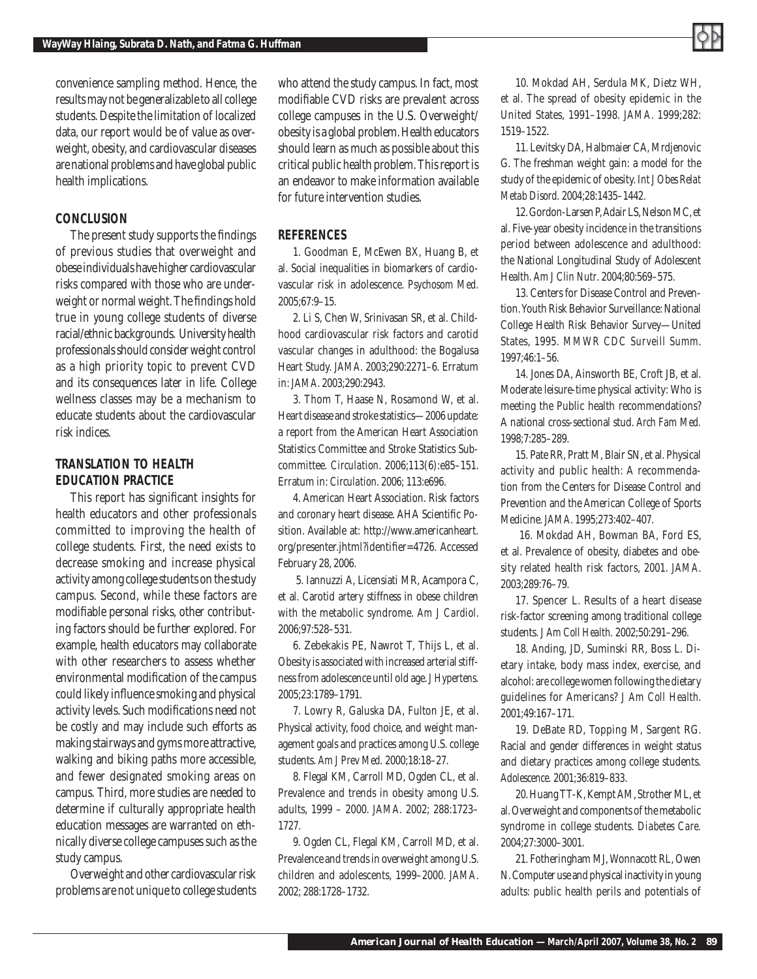convenience sampling method. Hence, the results may not be generalizable to all college students. Despite the limitation of localized data, our report would be of value as overweight, obesity, and cardiovascular diseases are national problems and have global public health implications.

#### *CONCLUSION*

The present study supports the findings of previous studies that overweight and obese individuals have higher cardiovascular risks compared with those who are underweight or normal weight. The findings hold true in young college students of diverse racial/ethnic backgrounds. University health professionals should consider weight control as a high priority topic to prevent CVD and its consequences later in life. College wellness classes may be a mechanism to educate students about the cardiovascular risk indices.

## *TRANSLATION TO HEALTH EDUCATION PRACTICE*

This report has significant insights for health educators and other professionals committed to improving the health of college students. First, the need exists to decrease smoking and increase physical activity among college students on the study campus. Second, while these factors are modifiable personal risks, other contributing factors should be further explored. For example, health educators may collaborate with other researchers to assess whether environmental modification of the campus could likely influence smoking and physical activity levels. Such modifications need not be costly and may include such efforts as making stairways and gyms more attractive, walking and biking paths more accessible, and fewer designated smoking areas on campus. Third, more studies are needed to determine if culturally appropriate health education messages are warranted on ethnically diverse college campuses such as the study campus.

Overweight and other cardiovascular risk problems are not unique to college students who attend the study campus. In fact, most modifiable CVD risks are prevalent across college campuses in the U.S. Overweight/ obesity is a global problem. Health educators should learn as much as possible about this critical public health problem. This report is an endeavor to make information available for future intervention studies.

### *REFERENCES*

1. Goodman E, McEwen BX, Huang B, et al. Social inequalities in biomarkers of cardiovascular risk in adolescence*. Psychosom Med.*  2005;67:9–15.

2. Li S, Chen W, Srinivasan SR, et al. Childhood cardiovascular risk factors and carotid vascular changes in adulthood: the Bogalusa Heart Study. *JAMA*. 2003;290:2271–6. Erratum in: *JAMA*. 2003;290:2943.

3. Thom T, Haase N, Rosamond W, et al. Heart disease and stroke statistics—2006 update: a report from the American Heart Association Statistics Committee and Stroke Statistics Subcommittee. *Circulation*. 2006;113(6):e85–151. Erratum in: *Circulation*. 2006; 113:e696.

4. American Heart Association. Risk factors and coronary heart disease. AHA Scientific Position. Available at: http://www.americanheart. org/presenter.jhtml?identifier=4726. Accessed February 28, 2006.

 5. Iannuzzi A, Licensiati MR, Acampora C, et al. Carotid artery stiffness in obese children with the metabolic syndrome. *Am J Cardiol*. 2006;97:528–531.

6. Zebekakis PE, Nawrot T, Thijs L, et al. Obesity is associated with increased arterial stiffness from adolescence until old age. *J Hypertens.*  2005;23:1789–1791.

7. Lowry R, Galuska DA, Fulton JE, et al. Physical activity, food choice, and weight management goals and practices among U.S. college students. *Am J Prev Med.* 2000;18:18–27.

8. Flegal KM, Carroll MD, Ogden CL, et al. Prevalence and trends in obesity among U.S. adults, 1999 – 2000. *JAMA*. 2002; 288:1723– 1727.

9. Ogden CL, Flegal KM, Carroll MD, et al. Prevalence and trends in overweight among U.S. children and adolescents, 1999–2000. *JAMA*. 2002; 288:1728–1732.

10. Mokdad AH, Serdula MK, Dietz WH, et al. The spread of obesity epidemic in the United States, 1991–1998. *JAMA*. 1999;282: 1519–1522.

11. Levitsky DA, Halbmaier CA, Mrdjenovic G. The freshman weight gain: a model for the study of the epidemic of obesity. *Int J Obes Relat Metab Disord.* 2004;28:1435–1442.

12. Gordon-Larsen P, Adair LS, Nelson MC, et al. Five-year obesity incidence in the transitions period between adolescence and adulthood: the National Longitudinal Study of Adolescent Health. *Am J Clin Nutr*. 2004;80:569–575.

13. Centers for Disease Control and Prevention. Youth Risk Behavior Surveillance: National College Health Risk Behavior Survey—United States, 1995. *MMWR CDC Surveill Summ*. 1997;46:1–56.

14. Jones DA, Ainsworth BE, Croft JB, et al. Moderate leisure-time physical activity: Who is meeting the Public health recommendations? A national cross-sectional stud. *Arch Fam Med.* 1998;7:285–289.

15. Pate RR, Pratt M, Blair SN, et al. Physical activity and public health: A recommendation from the Centers for Disease Control and Prevention and the American College of Sports Medicine. *JAMA*. 1995;273:402–407.

 16. Mokdad AH, Bowman BA, Ford ES, et al. Prevalence of obesity, diabetes and obesity related health risk factors, 2001. *JAMA*. 2003;289:76–79.

17. Spencer L. Results of a heart disease risk-factor screening among traditional college students. *J Am Coll Health.* 2002;50:291–296.

18. Anding, JD, Suminski RR, Boss L. Dietary intake, body mass index, exercise, and alcohol: are college women following the dietary guidelines for Americans? *J Am Coll Health*. 2001;49:167–171.

19. DeBate RD, Topping M, Sargent RG. Racial and gender differences in weight status and dietary practices among college students*. Adolescence.* 2001;36:819–833.

20. Huang TT-K, Kempt AM, Strother ML, et al. Overweight and components of the metabolic syndrome in college students. *Diabetes Care.* 2004;27:3000–3001.

21. Fotheringham MJ, Wonnacott RL, Owen N. Computer use and physical inactivity in young adults: public health perils and potentials of